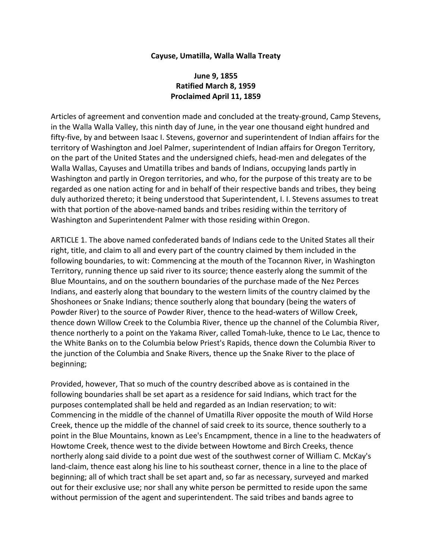## **Cayuse, Umatilla, Walla Walla Treaty**

## **June 9, 1855 Ratified March 8, 1959 Proclaimed April 11, 1859**

Articles of agreement and convention made and concluded at the treaty‐ground, Camp Stevens, in the Walla Walla Valley, this ninth day of June, in the year one thousand eight hundred and fifty-five, by and between Isaac I. Stevens, governor and superintendent of Indian affairs for the territory of Washington and Joel Palmer, superintendent of Indian affairs for Oregon Territory, on the part of the United States and the undersigned chiefs, head‐men and delegates of the Walla Wallas, Cayuses and Umatilla tribes and bands of Indians, occupying lands partly in Washington and partly in Oregon territories, and who, for the purpose of this treaty are to be regarded as one nation acting for and in behalf of their respective bands and tribes, they being duly authorized thereto; it being understood that Superintendent, I. I. Stevens assumes to treat with that portion of the above-named bands and tribes residing within the territory of Washington and Superintendent Palmer with those residing within Oregon.

ARTICLE 1. The above named confederated bands of Indians cede to the United States all their right, title, and claim to all and every part of the country claimed by them included in the following boundaries, to wit: Commencing at the mouth of the Tocannon River, in Washington Territory, running thence up said river to its source; thence easterly along the summit of the Blue Mountains, and on the southern boundaries of the purchase made of the Nez Perces Indians, and easterly along that boundary to the western limits of the country claimed by the Shoshonees or Snake Indians; thence southerly along that boundary (being the waters of Powder River) to the source of Powder River, thence to the head‐waters of Willow Creek, thence down Willow Creek to the Columbia River, thence up the channel of the Columbia River, thence northerly to a point on the Yakama River, called Tomah‐luke, thence to Le Lac, thence to the White Banks on to the Columbia below Priest's Rapids, thence down the Columbia River to the junction of the Columbia and Snake Rivers, thence up the Snake River to the place of beginning;

Provided, however, That so much of the country described above as is contained in the following boundaries shall be set apart as a residence for said Indians, which tract for the purposes contemplated shall be held and regarded as an Indian reservation; to wit: Commencing in the middle of the channel of Umatilla River opposite the mouth of Wild Horse Creek, thence up the middle of the channel of said creek to its source, thence southerly to a point in the Blue Mountains, known as Lee's Encampment, thence in a line to the headwaters of Howtome Creek, thence west to the divide between Howtome and Birch Creeks, thence northerly along said divide to a point due west of the southwest corner of William C. McKay's land-claim, thence east along his line to his southeast corner, thence in a line to the place of beginning; all of which tract shall be set apart and, so far as necessary, surveyed and marked out for their exclusive use; nor shall any white person be permitted to reside upon the same without permission of the agent and superintendent. The said tribes and bands agree to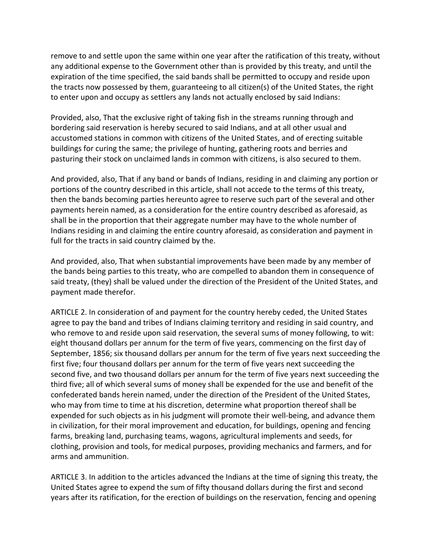remove to and settle upon the same within one year after the ratification of this treaty, without any additional expense to the Government other than is provided by this treaty, and until the expiration of the time specified, the said bands shall be permitted to occupy and reside upon the tracts now possessed by them, guaranteeing to all citizen(s) of the United States, the right to enter upon and occupy as settlers any lands not actually enclosed by said Indians:

Provided, also, That the exclusive right of taking fish in the streams running through and bordering said reservation is hereby secured to said Indians, and at all other usual and accustomed stations in common with citizens of the United States, and of erecting suitable buildings for curing the same; the privilege of hunting, gathering roots and berries and pasturing their stock on unclaimed lands in common with citizens, is also secured to them.

And provided, also, That if any band or bands of Indians, residing in and claiming any portion or portions of the country described in this article, shall not accede to the terms of this treaty, then the bands becoming parties hereunto agree to reserve such part of the several and other payments herein named, as a consideration for the entire country described as aforesaid, as shall be in the proportion that their aggregate number may have to the whole number of Indians residing in and claiming the entire country aforesaid, as consideration and payment in full for the tracts in said country claimed by the.

And provided, also, That when substantial improvements have been made by any member of the bands being parties to this treaty, who are compelled to abandon them in consequence of said treaty, (they) shall be valued under the direction of the President of the United States, and payment made therefor.

ARTICLE 2. In consideration of and payment for the country hereby ceded, the United States agree to pay the band and tribes of Indians claiming territory and residing in said country, and who remove to and reside upon said reservation, the several sums of money following, to wit: eight thousand dollars per annum for the term of five years, commencing on the first day of September, 1856; six thousand dollars per annum for the term of five years next succeeding the first five; four thousand dollars per annum for the term of five years next succeeding the second five, and two thousand dollars per annum for the term of five years next succeeding the third five; all of which several sums of money shall be expended for the use and benefit of the confederated bands herein named, under the direction of the President of the United States, who may from time to time at his discretion, determine what proportion thereof shall be expended for such objects as in his judgment will promote their well‐being, and advance them in civilization, for their moral improvement and education, for buildings, opening and fencing farms, breaking land, purchasing teams, wagons, agricultural implements and seeds, for clothing, provision and tools, for medical purposes, providing mechanics and farmers, and for arms and ammunition.

ARTICLE 3. In addition to the articles advanced the Indians at the time of signing this treaty, the United States agree to expend the sum of fifty thousand dollars during the first and second years after its ratification, for the erection of buildings on the reservation, fencing and opening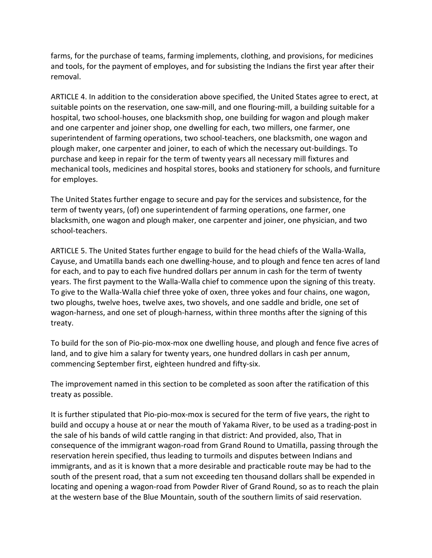farms, for the purchase of teams, farming implements, clothing, and provisions, for medicines and tools, for the payment of employes, and for subsisting the Indians the first year after their removal.

ARTICLE 4. In addition to the consideration above specified, the United States agree to erect, at suitable points on the reservation, one saw-mill, and one flouring-mill, a building suitable for a hospital, two school‐houses, one blacksmith shop, one building for wagon and plough maker and one carpenter and joiner shop, one dwelling for each, two millers, one farmer, one superintendent of farming operations, two school-teachers, one blacksmith, one wagon and plough maker, one carpenter and joiner, to each of which the necessary out‐buildings. To purchase and keep in repair for the term of twenty years all necessary mill fixtures and mechanical tools, medicines and hospital stores, books and stationery for schools, and furniture for employes.

The United States further engage to secure and pay for the services and subsistence, for the term of twenty years, (of) one superintendent of farming operations, one farmer, one blacksmith, one wagon and plough maker, one carpenter and joiner, one physician, and two school‐teachers.

ARTICLE 5. The United States further engage to build for the head chiefs of the Walla‐Walla, Cayuse, and Umatilla bands each one dwelling‐house, and to plough and fence ten acres of land for each, and to pay to each five hundred dollars per annum in cash for the term of twenty years. The first payment to the Walla‐Walla chief to commence upon the signing of this treaty. To give to the Walla‐Walla chief three yoke of oxen, three yokes and four chains, one wagon, two ploughs, twelve hoes, twelve axes, two shovels, and one saddle and bridle, one set of wagon-harness, and one set of plough-harness, within three months after the signing of this treaty.

To build for the son of Pio‐pio‐mox‐mox one dwelling house, and plough and fence five acres of land, and to give him a salary for twenty years, one hundred dollars in cash per annum, commencing September first, eighteen hundred and fifty‐six.

The improvement named in this section to be completed as soon after the ratification of this treaty as possible.

It is further stipulated that Pio‐pio‐mox‐mox is secured for the term of five years, the right to build and occupy a house at or near the mouth of Yakama River, to be used as a trading‐post in the sale of his bands of wild cattle ranging in that district: And provided, also, That in consequence of the immigrant wagon‐road from Grand Round to Umatilla, passing through the reservation herein specified, thus leading to turmoils and disputes between Indians and immigrants, and as it is known that a more desirable and practicable route may be had to the south of the present road, that a sum not exceeding ten thousand dollars shall be expended in locating and opening a wagon‐road from Powder River of Grand Round, so as to reach the plain at the western base of the Blue Mountain, south of the southern limits of said reservation.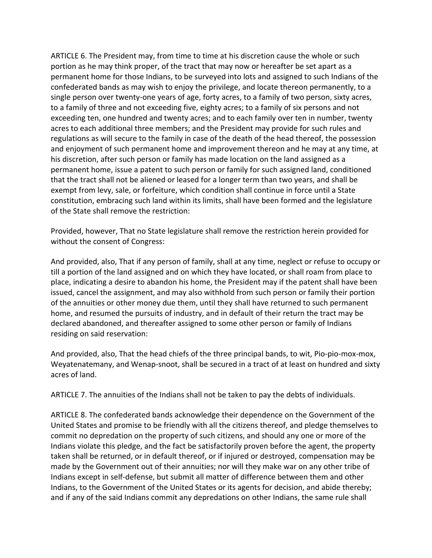ARTICLE 6. The President may, from time to time at his discretion cause the whole or such portion as he may think proper, of the tract that may now or hereafter be set apart as a permanent home for those Indians, to be surveyed into lots and assigned to such Indians of the confederated bands as may wish to enjoy the privilege, and locate thereon permanently, to a single person over twenty-one years of age, forty acres, to a family of two person, sixty acres, to a family of three and not exceeding five, eighty acres; to a family of six persons and not exceeding ten, one hundred and twenty acres; and to each family over ten in number, twenty acres to each additional three members; and the President may provide for such rules and regulations as will secure to the family in case of the death of the head thereof, the possession and enjoyment of such permanent home and improvement thereon and he may at any time, at his discretion, after such person or family has made location on the land assigned as a permanent home, issue a patent to such person or family for such assigned land, conditioned that the tract shall not be aliened or leased for a longer term than two years, and shall be exempt from levy, sale, or forfeiture, which condition shall continue in force until a State constitution, embracing such land within its limits, shall have been formed and the legislature of the State shall remove the restriction:

Provided, however, That no State legislature shall remove the restriction herein provided for without the consent of Congress:

And provided, also, That if any person of family, shall at any time, neglect or refuse to occupy or till a portion of the land assigned and on which they have located, or shall roam from place to place, indicating a desire to abandon his home, the President may if the patent shall have been issued, cancel the assignment, and may also withhold from such person or family their portion of the annuities or other money due them, until they shall have returned to such permanent home, and resumed the pursuits of industry, and in default of their return the tract may be declared abandoned, and thereafter assigned to some other person or family of Indians residing on said reservation:

And provided, also, That the head chiefs of the three principal bands, to wit, Pio‐pio‐mox‐mox, Weyatenatemany, and Wenap‐snoot, shall be secured in a tract of at least on hundred and sixty acres of land.

ARTICLE 7. The annuities of the Indians shall not be taken to pay the debts of individuals.

ARTICLE 8. The confederated bands acknowledge their dependence on the Government of the United States and promise to be friendly with all the citizens thereof, and pledge themselves to commit no depredation on the property of such citizens, and should any one or more of the Indians violate this pledge, and the fact be satisfactorily proven before the agent, the property taken shall be returned, or in default thereof, or if injured or destroyed, compensation may be made by the Government out of their annuities; nor will they make war on any other tribe of Indians except in self‐defense, but submit all matter of difference between them and other Indians, to the Government of the United States or its agents for decision, and abide thereby; and if any of the said Indians commit any depredations on other Indians, the same rule shall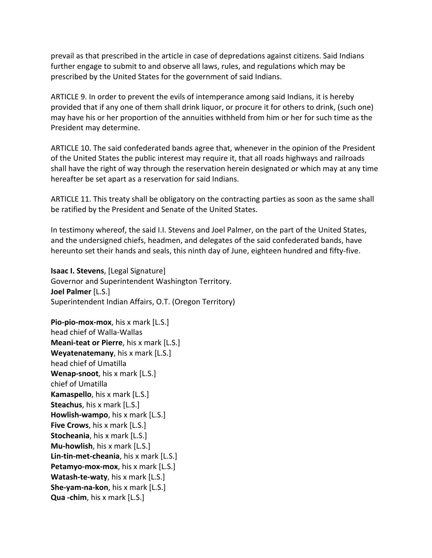prevail as that prescribed in the article in case of depredations against citizens. Said Indians further engage to submit to and observe all laws, rules, and regulations which may be prescribed by the United States for the government of said Indians.

ARTICLE 9. In order to prevent the evils of intemperance among said Indians, it is hereby provided that if any one of them shall drink liquor, or procure it for others to drink, (such one) may have his or her proportion of the annuities withheld from him or her for such time as the President may determine.

ARTICLE 10. The said confederated bands agree that, whenever in the opinion of the President of the United States the public interest may require it, that all roads highways and railroads shall have the right of way through the reservation herein designated or which may at any time hereafter be set apart as a reservation for said Indians.

ARTICLE 11. This treaty shall be obligatory on the contracting parties as soon as the same shall be ratified by the President and Senate of the United States.

In testimony whereof, the said I.I. Stevens and Joel Palmer, on the part of the United States, and the undersigned chiefs, headmen, and delegates of the said confederated bands, have hereunto set their hands and seals, this ninth day of June, eighteen hundred and fifty-five.

**Isaac I. Stevens**, [Legal Signature] Governor and Superintendent Washington Territory. **Joel Palmer** [L.S.] Superintendent Indian Affairs, O.T. (Oregon Territory)

**Pio‐pio‐mox‐mox**, his x mark [L.S.] head chief of Walla‐Wallas **Meani‐teat or Pierre**, his x mark [L.S.] **Weyatenatemany**, his x mark [L.S.] head chief of Umatilla **Wenap‐snoot**, his x mark [L.S.] chief of Umatilla **Kamaspello**, his x mark [L.S.] **Steachus**, his x mark [L.S.] **Howlish‐wampo**, his x mark [L.S.] **Five Crows**, his x mark [L.S.] **Stocheania**, his x mark [L.S.] **Mu‐howlish**, his x mark [L.S.] **Lin‐tin‐met‐cheania**, his x mark [L.S.] **Petamyo‐mox‐mox**, his x mark [L.S.] **Watash‐te‐waty**, his x mark [L.S.] **She‐yam‐na‐kon**, his x mark [L.S.] **Qua ‐chim**, his x mark [L.S.]